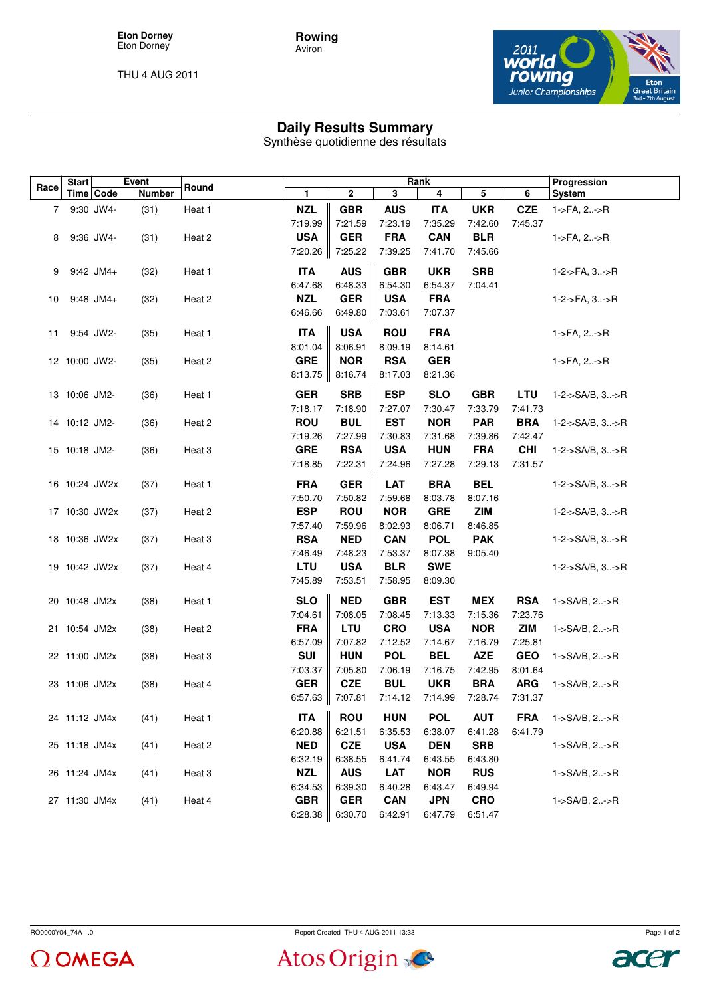**Eton Dorney** Eton Dorney

THU 4 AUG 2011



## **Daily Results Summary**

**Rowing** Aviron

Synthèse quotidienne des résultats

| Race | <b>Start</b>  |             | Event         | Round  | Rank                  |                       |                       |                       |                       |                       | Progression                  |
|------|---------------|-------------|---------------|--------|-----------------------|-----------------------|-----------------------|-----------------------|-----------------------|-----------------------|------------------------------|
|      |               | Time Code   | <b>Number</b> |        | 1                     | 2                     | 3                     | 4                     | 5                     | 6                     | System                       |
| 7    |               | 9:30 JW4-   | (31)          | Heat 1 | <b>NZL</b>            | <b>GBR</b>            | <b>AUS</b>            | <b>ITA</b>            | <b>UKR</b>            | <b>CZE</b>            | $1 - 5FA$ , $2 - 5R$         |
|      |               |             |               |        | 7:19.99               | 7:21.59               | 7:23.19               | 7:35.29               | 7:42.60               | 7:45.37               |                              |
| 8    |               | 9:36 JW4-   | (31)          | Heat 2 | <b>USA</b>            | <b>GER</b>            | <b>FRA</b>            | <b>CAN</b>            | <b>BLR</b>            |                       | 1->FA, 2->R                  |
|      |               |             |               |        | 7:20.26               | 7:25.22               | 7:39.25               | 7:41.70               | 7:45.66               |                       |                              |
|      |               |             |               |        |                       |                       |                       |                       |                       |                       |                              |
| 9    |               | $9:42$ JM4+ | (32)          | Heat 1 | <b>ITA</b>            | <b>AUS</b>            | <b>GBR</b>            | <b>UKR</b>            | <b>SRB</b>            |                       | 1-2->FA, 3->R                |
|      |               |             |               |        | 6:47.68               | 6:48.33               | 6:54.30               | 6:54.37               | 7:04.41               |                       |                              |
| 10   |               | $9:48$ JM4+ | (32)          | Heat 2 | <b>NZL</b>            | <b>GER</b>            | <b>USA</b>            | <b>FRA</b>            |                       |                       | 1-2->FA, 3->R                |
|      |               |             |               |        | 6:46.66               | 6:49.80               | 7:03.61               | 7:07.37               |                       |                       |                              |
| 11   |               | 9:54 JW2-   | (35)          | Heat 1 | <b>ITA</b>            | <b>USA</b>            | <b>ROU</b>            | <b>FRA</b>            |                       |                       | $1 - \frac{5}{4}$ , 2- $>$ R |
|      |               |             |               |        | 8:01.04               | 8:06.91               | 8:09.19               | 8:14.61               |                       |                       |                              |
|      | 12 10:00 JW2- |             | (35)          | Heat 2 | <b>GRE</b>            | <b>NOR</b>            | <b>RSA</b>            | <b>GER</b>            |                       |                       | 1->FA, 2->R                  |
|      |               |             |               |        | 8:13.75               | 8:16.74               | 8:17.03               | 8:21.36               |                       |                       |                              |
|      |               |             |               |        |                       |                       |                       |                       |                       |                       |                              |
|      | 13 10:06 JM2- |             | (36)          | Heat 1 | <b>GER</b>            | <b>SRB</b>            | <b>ESP</b>            | <b>SLO</b>            | <b>GBR</b>            | LTU                   | 1-2->SA/B, $3$ ->R           |
|      |               |             |               |        | 7:18.17               | 7:18.90               | 7:27.07               | 7:30.47               | 7:33.79               | 7:41.73               |                              |
|      | 14 10:12 JM2- |             | (36)          | Heat 2 | <b>ROU</b>            | <b>BUL</b>            | <b>EST</b>            | <b>NOR</b>            | <b>PAR</b>            | <b>BRA</b>            | 1-2->SA/B, 3->R              |
|      |               |             |               |        | 7:19.26               | 7:27.99               | 7:30.83               | 7:31.68               | 7:39.86               | 7:42.47               |                              |
|      | 15 10:18 JM2- |             | (36)          | Heat 3 | <b>GRE</b>            | <b>RSA</b>            | <b>USA</b>            | <b>HUN</b>            | <b>FRA</b>            | <b>CHI</b>            | $1 - 2 - S A/B$ , $3 - S R$  |
|      |               |             |               |        | 7:18.85               | 7:22.31               | 7:24.96               | 7:27.28               | 7:29.13               | 7:31.57               |                              |
|      | 16 10:24 JW2x |             | (37)          | Heat 1 | <b>FRA</b>            | <b>GER</b>            | <b>LAT</b>            | <b>BRA</b>            | <b>BEL</b>            |                       | $1 - 2 - S A/B$ , $3 - S R$  |
|      |               |             |               |        | 7:50.70               | 7:50.82               | 7:59.68               | 8:03.78               | 8:07.16               |                       |                              |
|      | 17 10:30 JW2x |             | (37)          | Heat 2 | <b>ESP</b>            | <b>ROU</b>            | <b>NOR</b>            | <b>GRE</b>            | <b>ZIM</b>            |                       | $1 - 2 - S A/B$ , $3 - S R$  |
|      |               |             |               |        | 7:57.40               | 7:59.96               | 8:02.93               | 8:06.71               | 8:46.85               |                       |                              |
|      | 18 10:36 JW2x |             | (37)          | Heat 3 | <b>RSA</b>            | <b>NED</b>            | <b>CAN</b>            | <b>POL</b>            | <b>PAK</b>            |                       | $1 - 2 - S A/B$ , $3 - S R$  |
|      |               |             |               |        | 7:46.49               | 7:48.23               | 7:53.37               | 8:07.38               | 9:05.40               |                       |                              |
|      | 19 10:42 JW2x |             | (37)          | Heat 4 | <b>LTU</b>            | <b>USA</b>            | <b>BLR</b>            | <b>SWE</b>            |                       |                       | $1 - 2 - S A/B$ , $3 - S R$  |
|      |               |             |               |        | 7:45.89               | 7:53.51               | 7:58.95               | 8:09.30               |                       |                       |                              |
|      |               |             |               |        | <b>SLO</b>            | <b>NED</b>            | <b>GBR</b>            | <b>EST</b>            |                       |                       |                              |
|      | 20 10:48 JM2x |             | (38)          | Heat 1 | 7:04.61               | 7:08.05               | 7:08.45               | 7:13.33               | MEX                   | <b>RSA</b><br>7:23.76 | 1->SA/B, 2->R                |
|      |               |             |               |        | <b>FRA</b>            | LTU                   | <b>CRO</b>            | <b>USA</b>            | 7:15.36<br><b>NOR</b> | <b>ZIM</b>            |                              |
|      | 21 10:54 JM2x |             | (38)          | Heat 2 | 6:57.09               | 7:07.82               | 7:12.52               |                       |                       | 7:25.81               | 1->SA/B, 2->R                |
|      | 22 11:00 JM2x |             | (38)          | Heat 3 | <b>SUI</b>            | <b>HUN</b>            | <b>POL</b>            | 7:14.67<br><b>BEL</b> | 7:16.79<br><b>AZE</b> | <b>GEO</b>            | 1->SA/B, 2->R                |
|      |               |             |               |        |                       |                       |                       |                       |                       | 8:01.64               |                              |
|      | 23 11:06 JM2x |             |               |        | 7:03.37<br><b>GER</b> | 7:05.80<br><b>CZE</b> | 7:06.19<br><b>BUL</b> | 7:16.75<br><b>UKR</b> | 7:42.95<br><b>BRA</b> | <b>ARG</b>            |                              |
|      |               |             | (38)          | Heat 4 | 6:57.63               | 7:07.81               |                       | 7:14.99               | 7:28.74               |                       | 1->SA/B, 2->R                |
|      |               |             |               |        |                       |                       | 7:14.12               |                       |                       | 7:31.37               |                              |
|      | 24 11:12 JM4x |             | (41)          | Heat 1 | <b>ITA</b>            | <b>ROU</b>            | <b>HUN</b>            | <b>POL</b>            | <b>AUT</b>            | <b>FRA</b>            | 1->SA/B, 2->R                |
|      |               |             |               |        | 6:20.88               | 6:21.51               | 6:35.53               | 6:38.07               | 6:41.28               | 6:41.79               |                              |
|      | 25 11:18 JM4x |             | (41)          | Heat 2 | <b>NED</b>            | <b>CZE</b>            | <b>USA</b>            | <b>DEN</b>            | <b>SRB</b>            |                       | 1->SA/B, 2->R                |
|      |               |             |               |        | 6:32.19               | 6:38.55               | 6:41.74               | 6:43.55               | 6:43.80               |                       |                              |
|      | 26 11:24 JM4x |             | (41)          | Heat 3 | <b>NZL</b>            | <b>AUS</b>            | <b>LAT</b>            | <b>NOR</b>            | <b>RUS</b>            |                       | 1->SA/B, 2->R                |
|      |               |             |               |        | 6:34.53               | 6:39.30               | 6:40.28               | 6:43.47               | 6:49.94               |                       |                              |
|      | 27 11:30 JM4x |             | (41)          | Heat 4 | <b>GBR</b>            | <b>GER</b>            | <b>CAN</b>            | <b>JPN</b>            | <b>CRO</b>            |                       | 1->SA/B, 2->R                |
|      |               |             |               |        | 6:28.38               | 6:30.70               | 6:42.91               | 6:47.79               | 6:51.47               |                       |                              |

 $\Omega$  OMEGA

RO0000Y04\_74A 1.0 RO0000Y04\_74A 1.0

Atos Origin



Page 1 of 2